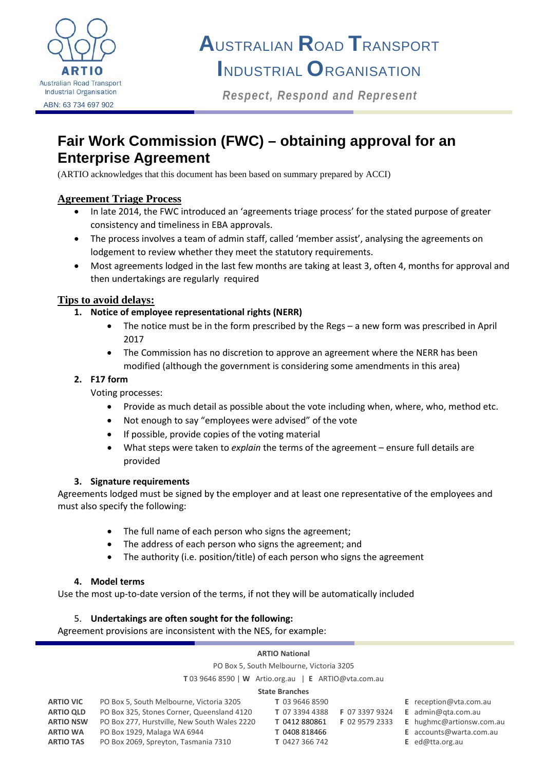

# **A**USTRALIAN **R**OAD **T**RANSPORT **I**NDUSTRIAL **O**RGANISATION

*Respect, Respond and Represent*

## **Fair Work Commission (FWC) – obtaining approval for an Enterprise Agreement**

(ARTIO acknowledges that this document has been based on summary prepared by ACCI)

#### **Agreement Triage Process**

- In late 2014, the FWC introduced an 'agreements triage process' for the stated purpose of greater consistency and timeliness in EBA approvals.
- The process involves a team of admin staff, called 'member assist', analysing the agreements on lodgement to review whether they meet the statutory requirements.
- Most agreements lodged in the last few months are taking at least 3, often 4, months for approval and then undertakings are regularly required

#### **Tips to avoid delays:**

- **1. Notice of employee representational rights (NERR)**
	- The notice must be in the form prescribed by the Regs a new form was prescribed in April 2017
	- The Commission has no discretion to approve an agreement where the NERR has been modified (although the government is considering some amendments in this area)

#### **2. F17 form**

Voting processes:

- Provide as much detail as possible about the vote including when, where, who, method etc.
- Not enough to say "employees were advised" of the vote
- If possible, provide copies of the voting material
- What steps were taken to *explain* the terms of the agreement ensure full details are provided

#### **3. Signature requirements**

Agreements lodged must be signed by the employer and at least one representative of the employees and must also specify the following:

- The full name of each person who signs the agreement;
- The address of each person who signs the agreement; and
- The authority (i.e. position/title) of each person who signs the agreement

#### **4. Model terms**

Use the most up-to-date version of the terms, if not they will be automatically included

#### 5. **Undertakings are often sought for the following:**

Agreement provisions are inconsistent with the NES, for example:

#### **ARTIO National**

PO Box 5, South Melbourne, Victoria 3205

**T** 03 9646 8590 | **W** Artio.org.au | **E** ARTIO@vta.com.au

#### **State Branches**

| <b>State Diditures</b> |                                              |                |                |  |                                |
|------------------------|----------------------------------------------|----------------|----------------|--|--------------------------------|
| <b>ARTIO VIC</b>       | PO Box 5, South Melbourne, Victoria 3205     | T 03 9646 8590 |                |  | E reception@vta.com.au         |
| <b>ARTIO OLD</b>       | PO Box 325, Stones Corner, Queensland 4120   | T 07 3394 4388 | F 07 3397 9324 |  | <b>E</b> admin@gta.com.au      |
| <b>ARTIO NSW</b>       | PO Box 277, Hurstville, New South Wales 2220 | T 0412 880861  | F 02 9579 2333 |  | E hughmc@artionsw.com.au       |
| <b>ARTIO WA</b>        | PO Box 1929, Malaga WA 6944                  | T 0408 818466  |                |  | <b>E</b> accounts@warta.com.au |
| <b>ARTIO TAS</b>       | PO Box 2069, Spreyton, Tasmania 7310         | T 0427 366 742 |                |  | <b>E</b> ed@tta.org.au         |
|                        |                                              |                |                |  |                                |